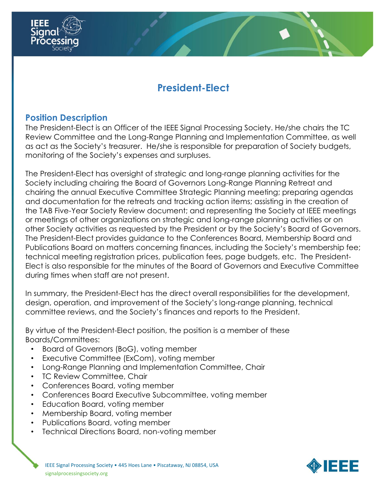

#### **Position Description**

The President-Elect is an Officer of the IEEE Signal Processing Society. He/she chairs the TC Review Committee and the Long-Range Planning and Implementation Committee, as well as act as the Society's treasurer. He/she is responsible for preparation of Society budgets, monitoring of the Society's expenses and surpluses.

The President-Elect has oversight of strategic and long-range planning activities for the Society including chairing the Board of Governors Long-Range Planning Retreat and chairing the annual Executive Committee Strategic Planning meeting; preparing agendas and documentation for the retreats and tracking action items; assisting in the creation of the TAB Five-Year Society Review document; and representing the Society at IEEE meetings or meetings of other organizations on strategic and long-range planning activities or on other Society activities as requested by the President or by the Society's Board of Governors. The President-Elect provides guidance to the Conferences Board, Membership Board and Publications Board on matters concerning finances, including the Society's membership fee; technical meeting registration prices, publication fees, page budgets, etc. The President-Elect is also responsible for the minutes of the Board of Governors and Executive Committee during times when staff are not present.

In summary, the President-Elect has the direct overall responsibilities for the development, design, operation, and improvement of the Society's long-range planning, technical committee reviews, and the Society's finances and reports to the President.

By virtue of the President-Elect position, the position is a member of these Boards/Committees:

- Board of Governors (BoG), voting member
- Executive Committee (ExCom), voting member
- Long-Range Planning and Implementation Committee, Chair
- TC Review Committee, Chair
- Conferences Board, voting member
- Conferences Board Executive Subcommittee, voting member
- Education Board, voting member
- Membership Board, voting member
- Publications Board, voting member
- Technical Directions Board, non-voting member

IEEE Signal Processing Society • 445 Hoes Lane • Piscataway, NJ 08854, USA signalprocessingsociety.org

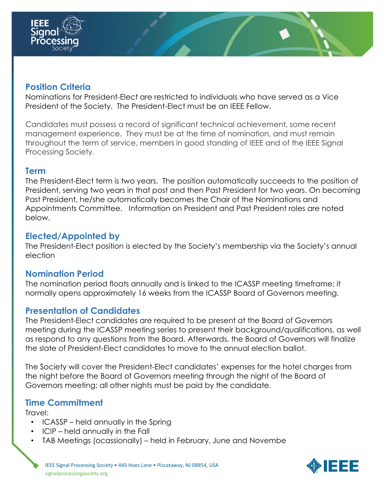

## **Position Criteria**

Nominations for President-Elect are restricted to individuals who have served as a Vice President of the Society. The President-Elect must be an IEEE Fellow.

Candidates must possess a record of significant technical achievement, some recent management experience. They must be at the time of nomination, and must remain throughout the term of service, members in good standing of IEEE and of the IEEE Signal Processing Society.

#### **Term**

The President-Elect term is two years. The position automatically succeeds to the position of President, serving two years in that post and then Past President for two years. On becoming Past President, he/she automatically becomes the Chair of the Nominations and Appointments Committee. Information on President and Past President roles are noted below.

#### **Elected/Appointed by**

The President-Elect position is elected by the Society's membership via the Society's annual election

## **Nomination Period**

The nomination period floats annually and is linked to the ICASSP meeting timeframe; it normally opens approximately 16 weeks from the ICASSP Board of Governors meeting.

## **Presentation of Candidates**

The President-Elect candidates are required to be present at the Board of Governors meeting during the ICASSP meeting series to present their background/qualifications, as well as respond to any questions from the Board. Afterwards, the Board of Governors will finalize the slate of President-Elect candidates to move to the annual election ballot.

The Society will cover the President-Elect candidates' expenses for the hotel charges from the night before the Board of Governors meeting through the night of the Board of Governors meeting; all other nights must be paid by the candidate.

## **Time Commitment**

Travel:

- ICASSP held annually in the Spring
- ICIP held annually in the Fall
- TAB Meetings (ocassionally) held in February, June and Novembe

IEEE Signal Processing Society • 445 Hoes Lane • Piscataway, NJ 08854, USA signalprocessingsociety.org

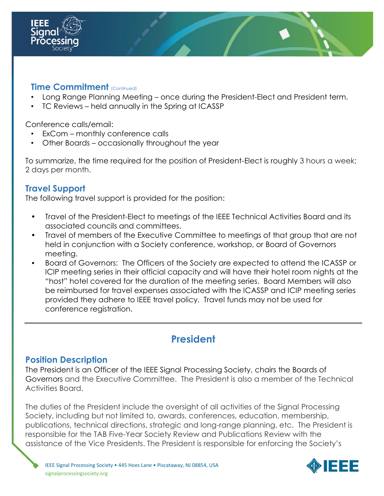

#### **Time Commitment** (Continued)

- Long Range Planning Meeting once during the President-Elect and President term.
- TC Reviews held annually in the Spring at ICASSP

Conference calls/email:

- ExCom monthly conference calls
- Other Boards occasionally throughout the year

To summarize, the time required for the position of President-Elect is roughly 3 hours a week; 2 days per month.

# **Travel Support**

The following travel support is provided for the position:

- Travel of the President-Elect to meetings of the IEEE Technical Activities Board and its associated councils and committees.
- Travel of members of the Executive Committee to meetings of that group that are not held in conjunction with a Society conference, workshop, or Board of Governors meeting.
- Board of Governors: The Officers of the Society are expected to attend the ICASSP or ICIP meeting series in their official capacity and will have their hotel room nights at the "host" hotel covered for the duration of the meeting series. Board Members will also be reimbursed for travel expenses associated with the ICASSP and ICIP meeting series provided they adhere to IEEE travel policy. Travel funds may not be used for conference registration.

# **President**

## **Position Description**

The President is an Officer of the IEEE Signal Processing Society, chairs the Boards of Governors and the Executive Committee. The President is also a member of the Technical Activities Board.

The duties of the President include the oversight of all activities of the Signal Processing Society, including but not limited to, awards, conferences, education, membership, publications, technical directions, strategic and long-range planning, etc. The President is responsible for the TAB Five-Year Society Review and Publications Review with the assistance of the Vice Presidents. The President is responsible for enforcing the Society's

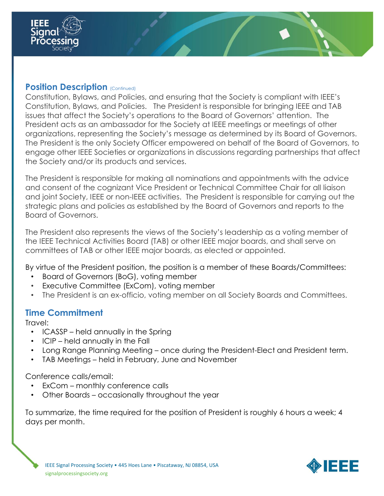

#### **Position Description** (Continued)

Constitution, Bylaws, and Policies, and ensuring that the Society is compliant with IEEE's Constitution, Bylaws, and Policies. The President is responsible for bringing IEEE and TAB issues that affect the Society's operations to the Board of Governors' attention. The President acts as an ambassador for the Society at IEEE meetings or meetings of other organizations, representing the Society's message as determined by its Board of Governors. The President is the only Society Officer empowered on behalf of the Board of Governors, to engage other IEEE Societies or organizations in discussions regarding partnerships that affect the Society and/or its products and services.

The President is responsible for making all nominations and appointments with the advice and consent of the cognizant Vice President or Technical Committee Chair for all liaison and joint Society, IEEE or non-IEEE activities. The President is responsible for carrying out the strategic plans and policies as established by the Board of Governors and reports to the Board of Governors.

The President also represents the views of the Society's leadership as a voting member of the IEEE Technical Activities Board (TAB) or other IEEE major boards, and shall serve on committees of TAB or other IEEE major boards, as elected or appointed.

By virtue of the President position, the position is a member of these Boards/Committees:

- Board of Governors (BoG), voting member
- Executive Committee (ExCom), voting member
- The President is an ex-officio, voting member on all Society Boards and Committees.

## **Time Commitment**

Travel:

- ICASSP held annually in the Spring
- ICIP held annually in the Fall
- Long Range Planning Meeting once during the President-Elect and President term.
- TAB Meetings held in February, June and November

#### Conference calls/email:

- ExCom monthly conference calls
- Other Boards occasionally throughout the year

To summarize, the time required for the position of President is roughly 6 hours a week; 4 days per month.